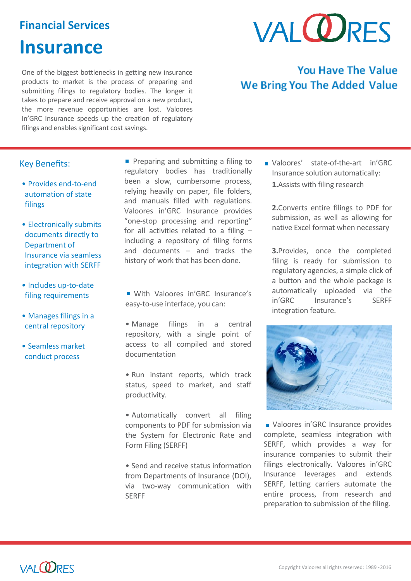### **Financial Services**

## **Insurance**

One of the biggest bottlenecks in getting new insurance products to market is the process of preparing and submitting filings to regulatory bodies. The longer it takes to prepare and receive approval on a new product, the more revenue opportunities are lost. Valoores In'GRC Insurance speeds up the creation of regulatory filings and enables significant cost savings.

# **VAI ODRES**

## **You Have The Value We Bring You The Added Value**

#### Key Benefits:

- Provides end-to-end automation of state filings
- Electronically submits documents directly to Department of Insurance via seamless integration with SERFF
- Includes up-to-date filing requirements
- Manages filings in a central repository
- Seamless market conduct process

**Preparing and submitting a filing to** regulatory bodies has traditionally been a slow, cumbersome process, relying heavily on paper, file folders, and manuals filled with regulations. Valoores in'GRC Insurance provides "one-stop processing and reporting" for all activities related to a filing – including a repository of filing forms and documents – and tracks the history of work that has been done.

- With Valoores in'GRC Insurance's easy-to-use interface, you can:
- Manage filings in a central repository, with a single point of access to all compiled and stored documentation
- Run instant reports, which track status, speed to market, and staff productivity.
- Automatically convert all filing components to PDF for submission via the System for Electronic Rate and Form Filing (SERFF)
- Send and receive status information from Departments of Insurance (DOI), via two-way communication with SERFF

Valoores' state-of-the-art in'GRC Insurance solution automatically: **1.**Assists with filing research

**2.**Converts entire filings to PDF for submission, as well as allowing for native Excel format when necessary

**3.**Provides, once the completed filing is ready for submission to regulatory agencies, a simple click of a button and the whole package is automatically uploaded via the in'GRC Insurance's SERFF integration feature.



■ Valoores in'GRC Insurance provides complete, seamless integration with SERFF, which provides a way for insurance companies to submit their filings electronically. Valoores in'GRC Insurance leverages and extends SERFF, letting carriers automate the entire process, from research and preparation to submission of the filing.



l,